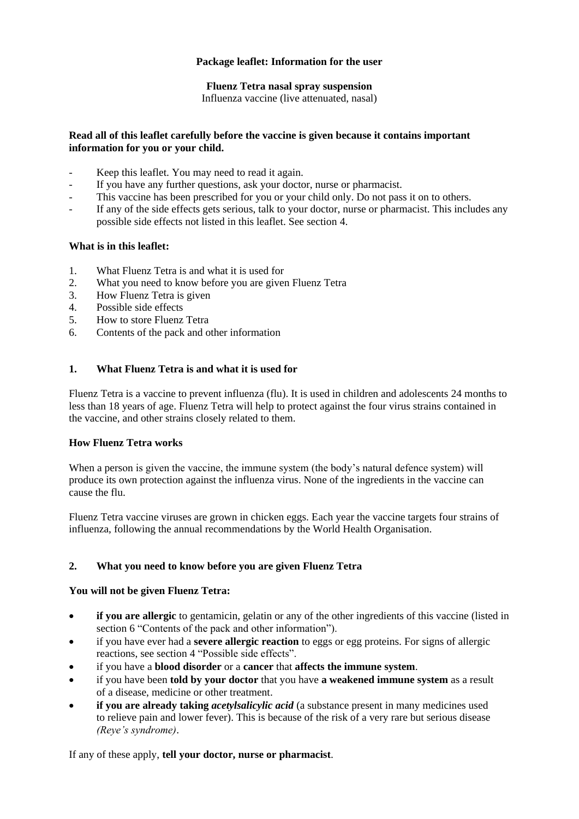## **Package leaflet: Information for the user**

## **Fluenz Tetra nasal spray suspension**

Influenza vaccine (live attenuated, nasal)

### **Read all of this leaflet carefully before the vaccine is given because it contains important information for you or your child.**

- Keep this leaflet. You may need to read it again.
- If you have any further questions, ask your doctor, nurse or pharmacist.
- This vaccine has been prescribed for you or your child only. Do not pass it on to others.
- If any of the side effects gets serious, talk to your doctor, nurse or pharmacist. This includes any possible side effects not listed in this leaflet. See section 4.

### **What is in this leaflet:**

- 1. What Fluenz Tetra is and what it is used for
- 2. What you need to know before you are given Fluenz Tetra
- 3. How Fluenz Tetra is given
- 4. Possible side effects
- 5. How to store Fluenz Tetra
- 6. Contents of the pack and other information

### **1. What Fluenz Tetra is and what it is used for**

Fluenz Tetra is a vaccine to prevent influenza (flu). It is used in children and adolescents 24 months to less than 18 years of age. Fluenz Tetra will help to protect against the four virus strains contained in the vaccine, and other strains closely related to them.

### **How Fluenz Tetra works**

When a person is given the vaccine, the immune system (the body's natural defence system) will produce its own protection against the influenza virus. None of the ingredients in the vaccine can cause the flu.

Fluenz Tetra vaccine viruses are grown in chicken eggs. Each year the vaccine targets four strains of influenza, following the annual recommendations by the World Health Organisation.

## **2. What you need to know before you are given Fluenz Tetra**

### **You will not be given Fluenz Tetra:**

- **if you are allergic** to gentamicin, gelatin or any of the other ingredients of this vaccine (listed in section 6 "Contents of the pack and other information").
- if you have ever had a **severe allergic reaction** to eggs or egg proteins. For signs of allergic reactions, see section 4 "Possible side effects".
- if you have a **blood disorder** or a **cancer** that **affects the immune system**.
- if you have been **told by your doctor** that you have **a weakened immune system** as a result of a disease, medicine or other treatment.
- **if you are already taking** *acetylsalicylic acid* (a substance present in many medicines used to relieve pain and lower fever). This is because of the risk of a very rare but serious disease *(Reye's syndrome)*.

If any of these apply, **tell your doctor, nurse or pharmacist**.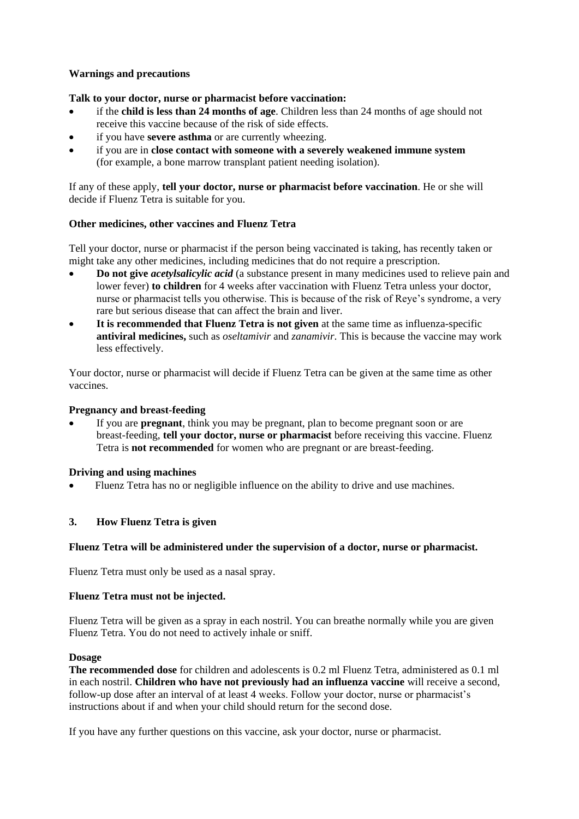## **Warnings and precautions**

### **Talk to your doctor, nurse or pharmacist before vaccination:**

- if the **child is less than 24 months of age**. Children less than 24 months of age should not receive this vaccine because of the risk of side effects.
- if you have **severe asthma** or are currently wheezing.
- if you are in **close contact with someone with a severely weakened immune system** (for example, a bone marrow transplant patient needing isolation).

If any of these apply, **tell your doctor, nurse or pharmacist before vaccination**. He or she will decide if Fluenz Tetra is suitable for you.

### **Other medicines, other vaccines and Fluenz Tetra**

Tell your doctor, nurse or pharmacist if the person being vaccinated is taking, has recently taken or might take any other medicines, including medicines that do not require a prescription.

- **Do not give** *acetylsalicylic acid* (a substance present in many medicines used to relieve pain and lower fever) **to children** for 4 weeks after vaccination with Fluenz Tetra unless your doctor, nurse or pharmacist tells you otherwise. This is because of the risk of Reye's syndrome, a very rare but serious disease that can affect the brain and liver.
- **It is recommended that Fluenz Tetra is not given** at the same time as influenza-specific **antiviral medicines,** such as *oseltamivir* and *zanamivir*. This is because the vaccine may work less effectively.

Your doctor, nurse or pharmacist will decide if Fluenz Tetra can be given at the same time as other vaccines.

## **Pregnancy and breast-feeding**

• If you are **pregnant**, think you may be pregnant, plan to become pregnant soon or are breast-feeding, **tell your doctor, nurse or pharmacist** before receiving this vaccine. Fluenz Tetra is **not recommended** for women who are pregnant or are breast-feeding.

### **Driving and using machines**

• Fluenz Tetra has no or negligible influence on the ability to drive and use machines.

## **3. How Fluenz Tetra is given**

### **Fluenz Tetra will be administered under the supervision of a doctor, nurse or pharmacist.**

Fluenz Tetra must only be used as a nasal spray.

### **Fluenz Tetra must not be injected.**

Fluenz Tetra will be given as a spray in each nostril. You can breathe normally while you are given Fluenz Tetra. You do not need to actively inhale or sniff.

### **Dosage**

**The recommended dose** for children and adolescents is 0.2 ml Fluenz Tetra, administered as 0.1 ml in each nostril. **Children who have not previously had an influenza vaccine** will receive a second, follow-up dose after an interval of at least 4 weeks. Follow your doctor, nurse or pharmacist's instructions about if and when your child should return for the second dose.

If you have any further questions on this vaccine, ask your doctor, nurse or pharmacist.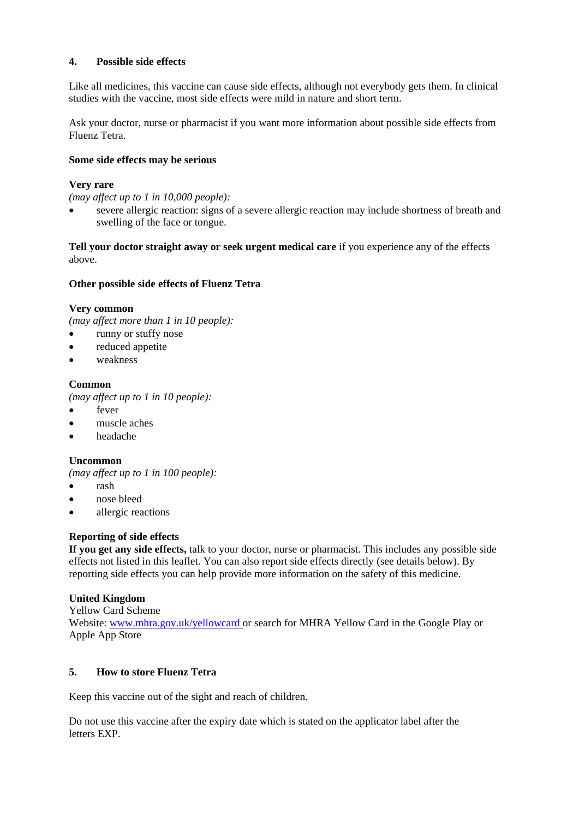# **4. Possible side effects**

Like all medicines, this vaccine can cause side effects, although not everybody gets them. In clinical studies with the vaccine, most side effects were mild in nature and short term.

Ask your doctor, nurse or pharmacist if you want more information about possible side effects from Fluenz Tetra.

### **Some side effects may be serious**

## **Very rare**

*(may affect up to 1 in 10,000 people):*

• severe allergic reaction: signs of a severe allergic reaction may include shortness of breath and swelling of the face or tongue.

**Tell your doctor straight away or seek urgent medical care** if you experience any of the effects above.

### **Other possible side effects of Fluenz Tetra**

### **Very common**

*(may affect more than 1 in 10 people):*

- runny or stuffy nose
- reduced appetite
- weakness

## **Common**

*(may affect up to 1 in 10 people):*

- fever
- muscle aches
- headache

### **Uncommon**

*(may affect up to 1 in 100 people):*

- rash
- nose bleed
- allergic reactions

## **Reporting of side effects**

**If you get any side effects,** talk to your doctor, nurse or pharmacist. This includes any possible side effects not listed in this leaflet. You can also report side effects directly (see details below). By reporting side effects you can help provide more information on the safety of this medicine.

## **United Kingdom**

Yellow Card Scheme

Website: [www.mhra.gov.uk/yellowcard](http://www.mhra.gov.uk/yellowcard) or search for MHRA Yellow Card in the Google Play or Apple App Store

## **5. How to store Fluenz Tetra**

Keep this vaccine out of the sight and reach of children.

Do not use this vaccine after the expiry date which is stated on the applicator label after the letters EXP.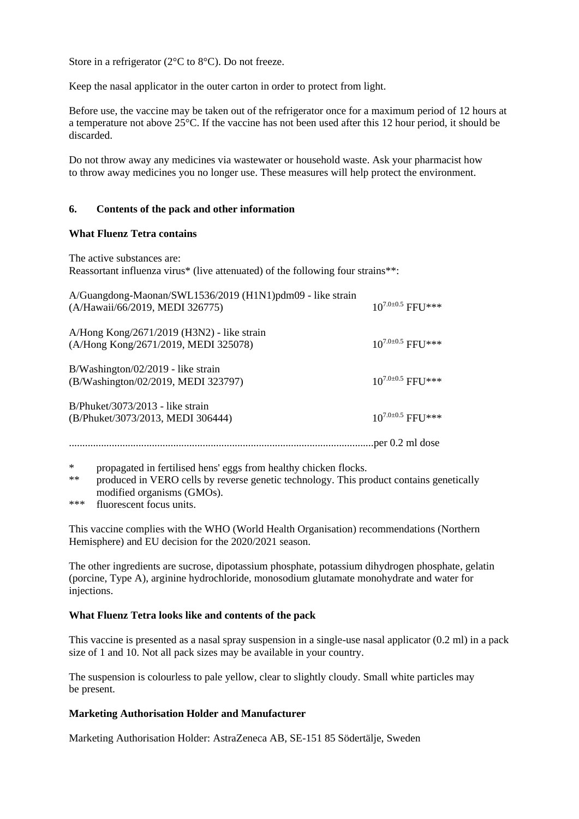Store in a refrigerator (2°C to 8°C). Do not freeze.

Keep the nasal applicator in the outer carton in order to protect from light.

Before use, the vaccine may be taken out of the refrigerator once for a maximum period of 12 hours at a temperature not above 25°C. If the vaccine has not been used after this 12 hour period, it should be discarded.

Do not throw away any medicines via wastewater or household waste. Ask your pharmacist how to throw away medicines you no longer use. These measures will help protect the environment.

### **6. Contents of the pack and other information**

### **What Fluenz Tetra contains**

The active substances are: Reassortant influenza virus\* (live attenuated) of the following four strains\*\*:

| A/Guangdong-Maonan/SWL1536/2019 (H1N1)pdm09 - like strain<br>(A/Hawaii/66/2019, MEDI 326775) | $10^{7.0 \pm 0.5}$ FFU*** |
|----------------------------------------------------------------------------------------------|---------------------------|
| A/Hong Kong/2671/2019 (H3N2) - like strain<br>(A/Hong Kong/2671/2019, MEDI 325078)           | $10^{7.0\pm0.5}$ FFU $**$ |
| $B/W$ ashington/02/2019 - like strain<br>(B/Washington/02/2019, MEDI 323797)                 | $10^{7.0\pm0.5}$ FFU $**$ |
| $B/Phuket/3073/2013$ - like strain<br>(B/Phuket/3073/2013, MEDI 306444)                      | $10^{7.0\pm0.5}$ FFU $**$ |
|                                                                                              | per 0.2 ml dose           |

\* propagated in fertilised hens' eggs from healthy chicken flocks.

\*\* produced in VERO cells by reverse genetic technology. This product contains genetically modified organisms (GMOs).

\*\*\* fluorescent focus units.

This vaccine complies with the WHO (World Health Organisation) recommendations (Northern Hemisphere) and EU decision for the 2020/2021 season.

The other ingredients are sucrose, dipotassium phosphate, potassium dihydrogen phosphate, gelatin (porcine, Type A), arginine hydrochloride, monosodium glutamate monohydrate and water for injections.

### **What Fluenz Tetra looks like and contents of the pack**

This vaccine is presented as a nasal spray suspension in a single-use nasal applicator (0.2 ml) in a pack size of 1 and 10. Not all pack sizes may be available in your country.

The suspension is colourless to pale yellow, clear to slightly cloudy. Small white particles may be present.

### **Marketing Authorisation Holder and Manufacturer**

Marketing Authorisation Holder: AstraZeneca AB, SE-151 85 Södertälje, Sweden